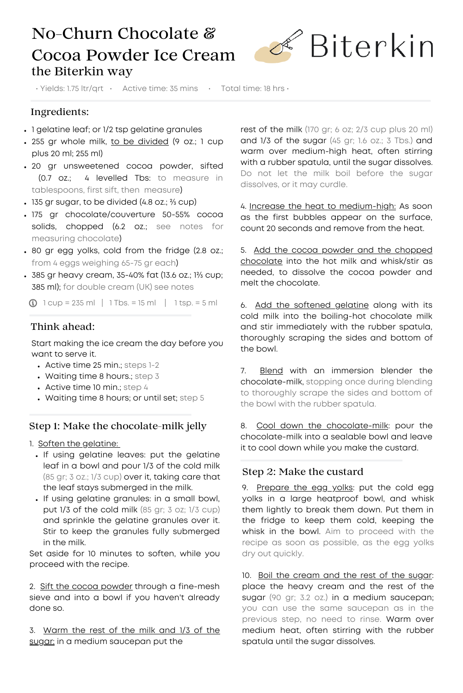# No-Churn Chocolate & Cocoa Powder Ice Cream the Biterkin way



• Yields: 1.75 ltr/qrt • Active time: 35 mins • Total time: 18 hrs •

## Ingredients:

- . 1 gelatine leaf; or 1/2 tsp gelatine granules
- . 255 gr whole milk, to be divided (9 oz.; 1 cup plus 20 ml; 255 ml)
- 20 gr unsweetened cocoa powder, sifted (0.7 oz.; 4 levelled Tbs: to measure in tablespoons, first sift, then measure)
- 135 gr sugar, to be divided (4.8 oz.; <sup>2</sup>/<sub>3</sub> cup)
- 175 gr chocolate/couverture 50-55% cocoa solids, chopped (6.2 oz.; see notes for measuring chocolate)
- 80 gr egg yolks, cold from the fridge (2.8 oz.; from 4 eggs weighing 65-75 gr each)
- 385 gr heavy cream, 35-40% fat (13.6 oz.; 1⅔ cup; 385 ml); for double cream (UK) see notes

 $\bigcirc$  1 cup = 235 ml | 1 Tbs. = 15 ml | 1 tsp. = 5 ml

## Think ahead:

Start making the ice cream the day before you want to serve it.

- Active time 25 min.; steps 1-2
- Waiting time 8 hours.; step 3
- $\bullet$  Active time 10 min.; step 4
- Waiting time 8 hours; or until set; step 5

#### Step 1: Make the chocolate-milk jelly

1. Soften the gelatine:

- . If using gelatine leaves: put the gelatine leaf in a bowl and pour 1/3 of the cold milk (85 gr; 3 oz.; 1/3 cup) over it, taking care that the leaf stays submerged in the milk.
- . If using gelatine granules: in a small bowl, put 1/3 of the cold milk (85 gr; 3 oz; 1/3 cup) and sprinkle the gelatine granules over it. Stir to keep the granules fully submerged in the milk.

Set aside for 10 minutes to soften, while you proceed with the recipe.

2. Sift the cocoa powder through a fine-mesh sieve and into a bowl if you haven't already done so.

3. Warm the rest of the milk and 1/3 of the sugar: in a medium saucepan put the

rest of the milk (170 gr; 6 oz; 2/3 cup plus 20 ml) and 1/3 of the sugar (45 gr; 1.6 oz.; 3 Tbs.) and warm over medium-high heat, often stirring with a rubber spatula, until the sugar dissolves. Do not let the milk boil before the sugar dissolves, or it may curdle.

4. Increase the heat to medium-high: As soon as the first bubbles appear on the surface, count 20 seconds and remove from the heat.

5. Add the cocoa powder and the chopped chocolate into the hot milk and whisk/stir as needed, to dissolve the cocoa powder and melt the chocolate.

6. Add the softened gelatine along with its cold milk into the boiling-hot chocolate milk and stir immediately with the rubber spatula, thoroughly scraping the sides and bottom of the bowl.

7. Blend with an immersion blender the chocolate-milk, stopping once during blending to thoroughly scrape the sides and bottom of the bowl with the rubber spatula.

8. Cool down the chocolate-milk: pour the chocolate-milk into a sealable bowl and leave it to cool down while you make the custard.

#### Step 2: Make the custard

9. Prepare the egg yolks: put the cold egg yolks in a large heatproof bowl, and whisk them lightly to break them down. Put them in the fridge to keep them cold, keeping the whisk in the bowl. Aim to proceed with the recipe as soon as possible, as the egg yolks dry out quickly.

10. Boil the cream and the rest of the sugar: place the heavy cream and the rest of the sugar (90 gr; 3.2 oz.) in a medium saucepan; you can use the same saucepan as in the previous step, no need to rinse. Warm over medium heat, often stirring with the rubber spatula until the sugar dissolves.